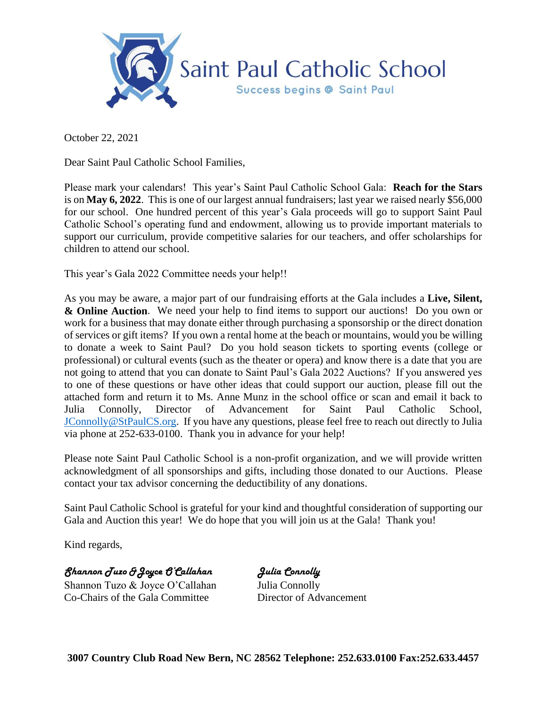

October 22, 2021

Dear Saint Paul Catholic School Families,

Please mark your calendars! This year's Saint Paul Catholic School Gala: **Reach for the Stars** is on **May 6, 2022**. This is one of our largest annual fundraisers; last year we raised nearly \$56,000 for our school. One hundred percent of this year's Gala proceeds will go to support Saint Paul Catholic School's operating fund and endowment, allowing us to provide important materials to support our curriculum, provide competitive salaries for our teachers, and offer scholarships for children to attend our school.

This year's Gala 2022 Committee needs your help!!

As you may be aware, a major part of our fundraising efforts at the Gala includes a **Live, Silent, & Online Auction**. We need your help to find items to support our auctions! Do you own or work for a business that may donate either through purchasing a sponsorship or the direct donation of services or gift items? If you own a rental home at the beach or mountains, would you be willing to donate a week to Saint Paul? Do you hold season tickets to sporting events (college or professional) or cultural events (such as the theater or opera) and know there is a date that you are not going to attend that you can donate to Saint Paul's Gala 2022 Auctions? If you answered yes to one of these questions or have other ideas that could support our auction, please fill out the attached form and return it to Ms. Anne Munz in the school office or scan and email it back to Julia Connolly, Director of Advancement for Saint Paul Catholic School, [JConnolly@StPaulCS.org.](mailto:JConnolly@StPaulCS.org) If you have any questions, please feel free to reach out directly to Julia via phone at 252-633-0100. Thank you in advance for your help!

Please note Saint Paul Catholic School is a non-profit organization, and we will provide written acknowledgment of all sponsorships and gifts, including those donated to our Auctions. Please contact your tax advisor concerning the deductibility of any donations.

Saint Paul Catholic School is grateful for your kind and thoughtful consideration of supporting our Gala and Auction this year! We do hope that you will join us at the Gala! Thank you!

Kind regards,

*Shannon Tuzo &Joyce O'Callahan Julia Connolly*

Shannon Tuzo & Joyce O'Callahan Julia Connolly Co-Chairs of the Gala Committee Director of Advancement